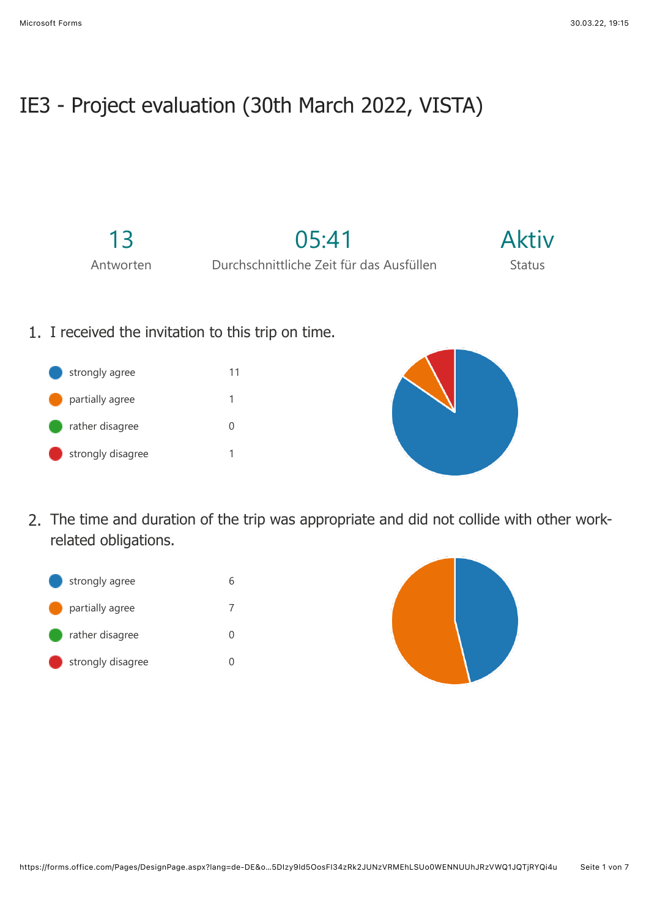## IE3 - Project evaluation (30th March 2022, VISTA)

13

05:41

Aktiv Status

Antworten

Durchschnittliche Zeit für das Ausfüllen

- 1. I received the invitation to this trip on time.
	- strongly agree 11 partially agree 1 rather disagree 0 strongly disagree 1



2. The time and duration of the trip was appropriate and did not collide with other workrelated obligations.



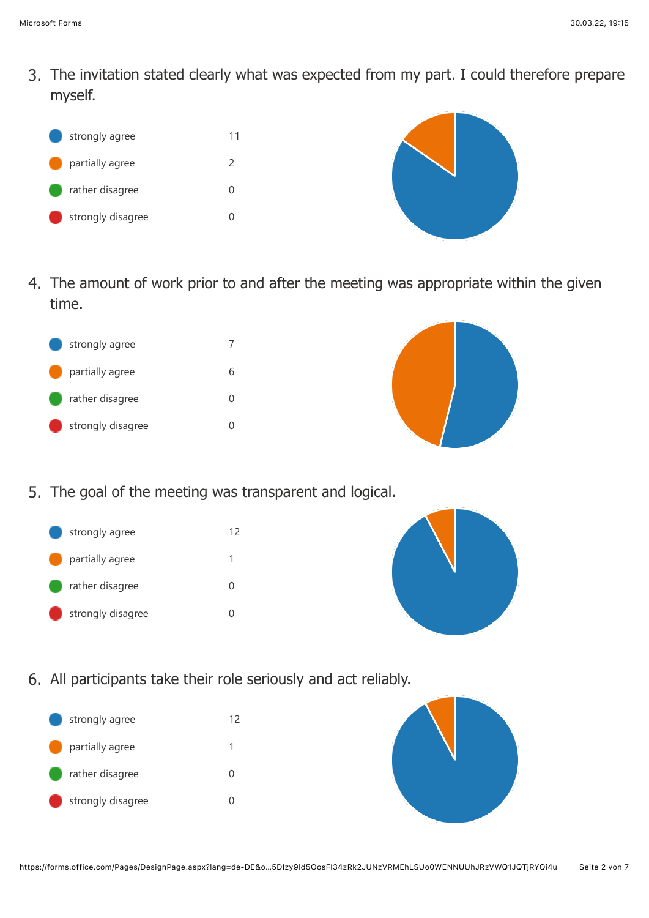3. The invitation stated clearly what was expected from my part. I could therefore prepare myself.





4. The amount of work prior to and after the meeting was appropriate within the given time.





- 5. The goal of the meeting was transparent and logical.
	- strongly agree 12 partially agree 1
	- rather disagree 0
	- strongly disagree and the 0



6. All participants take their role seriously and act reliably.



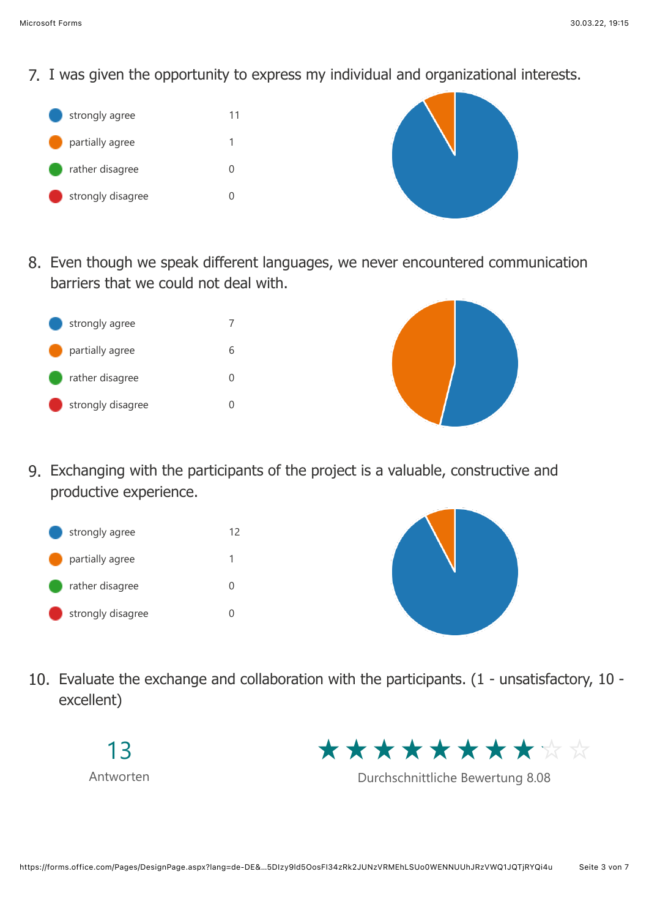7. I was given the opportunity to express my individual and organizational interests.



8. Even though we speak different languages, we never encountered communication barriers that we could not deal with.





9. Exchanging with the participants of the project is a valuable, constructive and productive experience.





10. Evaluate the exchange and collaboration with the participants. (1 - unsatisfactory, 10 excellent)





Durchschnittliche Bewertung 8.08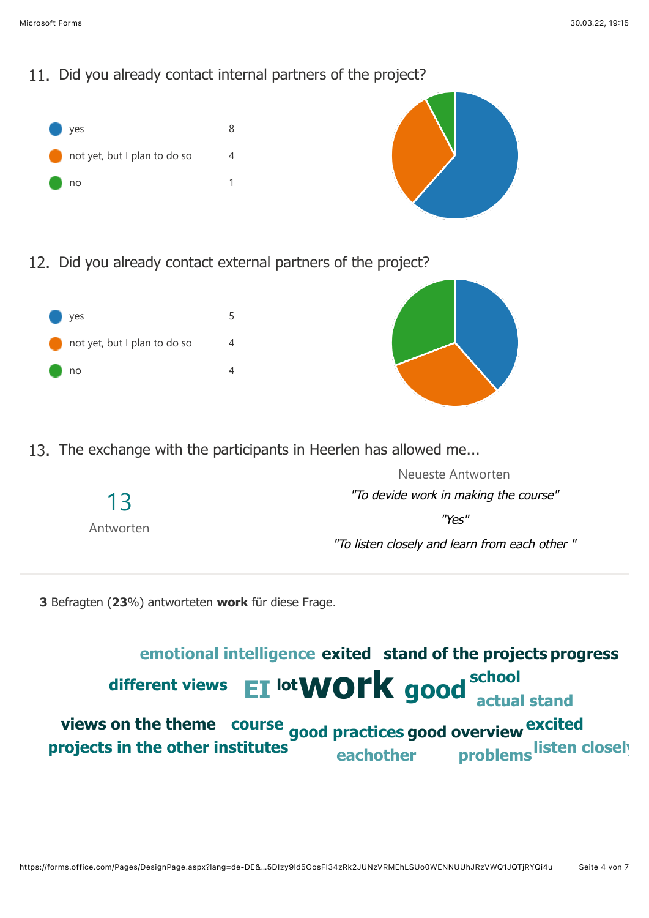



12. Did you already contact external partners of the project?



13. The exchange with the participants in Heerlen has allowed me...

|                 | Neueste Antworten                             |
|-----------------|-----------------------------------------------|
| 13<br>Antworten | "To devide work in making the course"         |
|                 | "Υρς"                                         |
|                 | "To listen closely and learn from each other" |

**3** Befragten (**23**%) antworteten **work** für diese Frage.

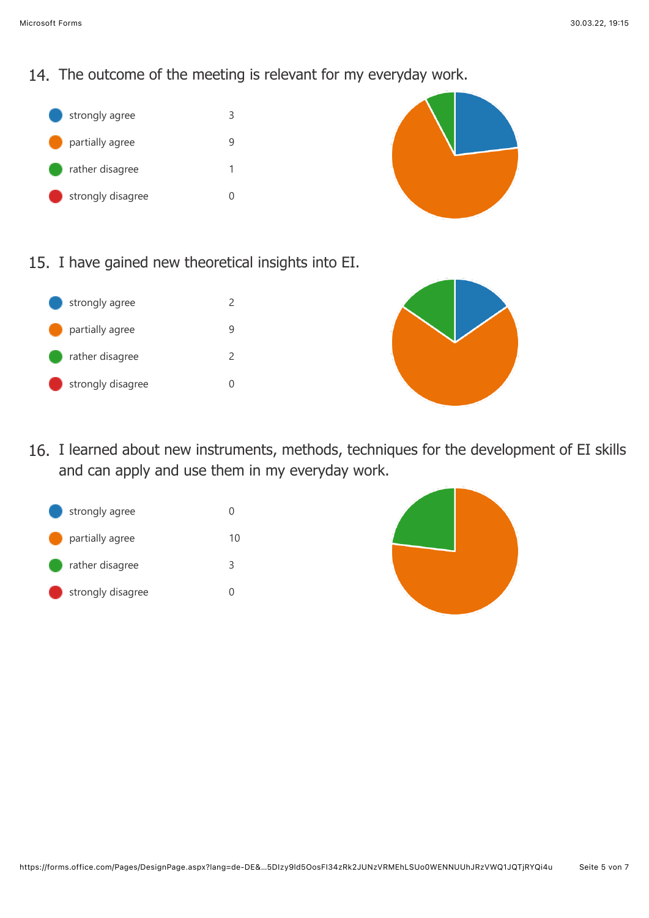## 14. The outcome of the meeting is relevant for my everyday work.





15. I have gained new theoretical insights into EI.





16. I learned about new instruments, methods, techniques for the development of EI skills and can apply and use them in my everyday work.



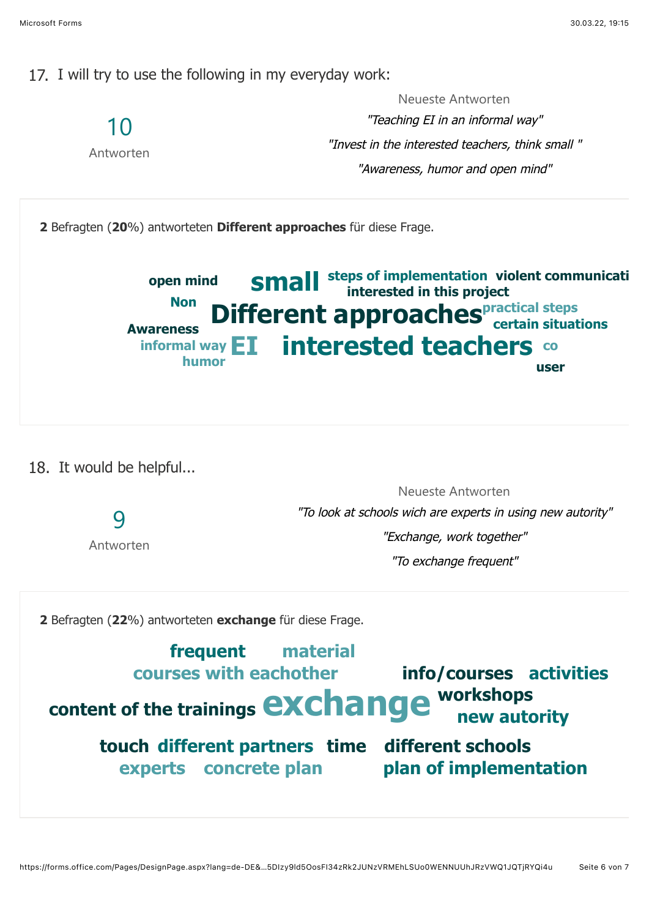17. I will try to use the following in my everyday work:



18. It would be helpful...

9

Antworten

Neueste Antworten "To look at schools wich are experts in using new autority" "Exchange, work together" "To exchange frequent"

**2** Befragten (**22**%) antworteten **exchange** für diese Frage.

## **exchange** workshops content of the trainings **exchange** workshops **different partners different schools time touchcourses with eachother info/courses activities concrete plan plan of implementation workshops experts frequent material**